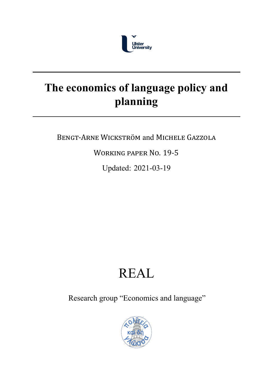

## **The economics of language policy and planning**

BENGT‐ARNE WICKSTRÖM and MICHELE GAZZOLA

WORKING PAPER NO. 19‐5

Updated: 2021-03-19

# REAL

Research group "Economics and language"

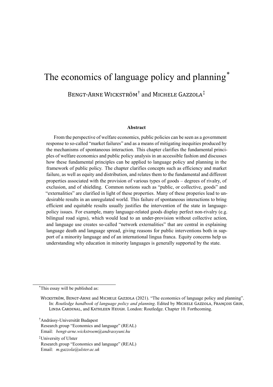## The economics of language policy and planning<sup>\*</sup>

BENGT-ARNE WICKSTRÖM<sup>†</sup> and MICHELE GAZZOLA<sup>‡</sup>

#### **Abstract**

From the perspective of welfare economics, public policies can be seen as a government response to socalled "market failures" and as a means of mitigating inequities produced by the mechanisms of spontaneous interaction. This chapter clarifies the fundamental principles of welfare economics and public policy analysis in an accessible fashion and discusses how these fundamental principles can be applied to language policy and planning in the framework of public policy. The chapter clarifies concepts such as efficiency and market failure, as well as equity and distribution, and relates them to the fundamental and different properties associated with the provision of various types of goods – degrees of rivalry, of exclusion, and of shielding. Common notions such as "public, or collective, goods" and "externalities" are clarified in light of these properties. Many of these properies lead to undesirable results in an unregulated world. This failure of spontaneous interactions to bring efficient and equitable results usually justifies the intervention of the state in languagepolicy issues. For example, many language-related goods display perfect non-rivalry (e.g. bilingual road signs), which would lead to an under-provision without collective action, and language use creates socalled "network externalities" that are central in explaining language death and language spread, giving reasons for public interventions both in support of a minority language and of an international lingua franca. Equity concerns help us understanding why education in minority languages is generally supported by the state.

\*This essay will be published as:

<sup>†</sup>Andrássy-Universität Budapest

‡University of Ulster Research group "Economics and language" (REAL) Email: *m.gazzola@ulster.ac.uk*

WICKSTRÖM, BENGT‐ARNE and MICHELE GAZZOLA (2021). "The economics of language policy and planning". In: *Routledge handbook of language policy and planning*. Edited by MICHELE GAZZOLA, FRANÇOIS GRIN, LINDA CARDINAL, and KATHLEEN HEUGH. London: Routledge. Chapter 10. Forthcoming.

Research group "Economics and language" (REAL) Email: *bengt-arne.wickstroem@andrassyuni.hu*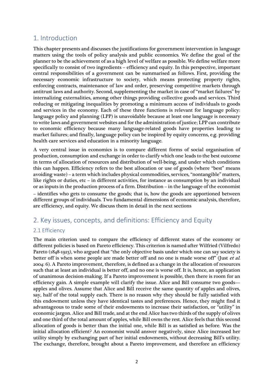### 1. Introduction

This chapter presents and discusses the justifications for government intervention in language matters using the tools of policy analysis and public economics. We define the goal of the planner to be the achievement of as a high level of welfare as possible. We define welfare more specifically to consist of two ingredients – efficiency and equity. In this perspective, important central responsibilities of a government can be summarised as follows. First, providing the necessary economic infrastructure to society, which means protecting property rights, enforcing contracts, maintenance of law and order, preserving competitive markets through antitrust laws and authority. Second, supplementing the market in case of "market failures" by internalizing externalities, among other things providing collective goods and services. Third reducing or mitigating inequalities by promoting a minimum access of individuals to goods and services in the economy. Each of these three functions is relevant for language policy: language policy and planning (LPP) is unavoidable because at least one language is necessary to write laws and government websites and for the administration of justice; LPP can contribute to economic efficiency because many language-related goods have properties leading to market failures; and finally, language policy can be inspired by equity concerns, e.g. providing health care services and education in a minority language.

A very central issue in economics is to compare different forms of social organisation of production, consumption and exchange in order to clarify which one leads to the best outcome in terms of allocation of resources and distribution of well-being, and under which conditions this can happen. Efficiency refers to the best allocation or use of goods (where "best" means avoiding waste) – a term which includes physical commodities, services, "nontangible" matters, like rights or duties, etc – in different activities, for instance as consumption by an individual or as inputs in the production process of a firm. Distribution – in the language of the economist – identifies who gets to consume the goods; that is, how the goods are apportioned between different groups of individuals. Two fundamental dimensions of economic analysis, therefore, are efficiency, and equity. We discuss them in detail in the next sections

## 2. Key issues, concepts, and definitions: Efficiency and Equity

#### 2.1 Efficiency

The main criterion used to compare the efficiency of different states of the economy or different policies is based on Pareto efficiency. This criterion is named after Wilfried (Vilfredo) Pareto (1848-1923), who argued that "the only objective basis under which one can say society is better off is when some people are made better off and no one is made worse off" (Just *et al.* 2004: 6). A Pareto improvement, therefore, is defined as a change in the allocation of resources such that at least an individual is better off, and no one is worse off. It is, hence, an application of unanimous decision-making. If a Pareto improvement is possible, then there is room for an efficiency gain. A simple example will clarify the issue. Alice and Bill consume two goods apples and olives. Assume that Alice and Bill receive the same quantity of apples and olives, say, half of the total supply each. There is no reason why they should be fully satisfied with this endowment unless they have identical tastes and preferences. Hence, they might find it advantageous to trade some of their endowments to increase their satisfaction, or "utility" in economic jargon. Alice and Bill trade, and at the end Alice has two thirds of the supply of olives and one third of the total amount of apples, while Bill owns the rest. Alice feels that this second allocation of goods is better than the initial one, while Bill is as satisfied as before. Was the initial allocation efficient? An economist would answer negatively, since Alice increased her utility simply by exchanging part of her initial endowments, without decreasing Bill's utility. The exchange, therefore, brought about a Pareto improvement, and therefore an efficiency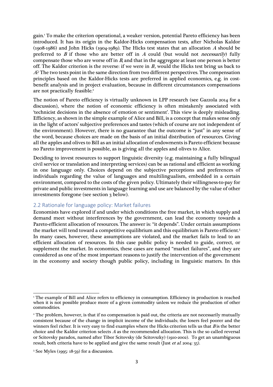gain.1 To make the criterion operational, a weaker version, potential Pareto efficiency has been introduced. It has its origin in the Kaldor-Hicks compensation tests, after Nicholas Kaldor (1908-1986) and John Hicks (1904-1989). The Hicks test states that an allocation A should be preferred to  $B$  if those who are better off in  $A$  could (but would not *necessarily*) fully compensate those who are worse off in  $B$ , and that in the aggregate at least one person is better off. The Kaldor criterion is the reverse: if we were in  $B$ , would the Hicks test bring us back to A? The two tests point in the same direction from two different perspectives. The compensation principles based on the Kaldor-Hicks tests are preferred in applied economics, e.g. in costbenefit analysis and in project evaluation, because in different circumstances compensations are not practically feasible.<sup>2</sup>

The notion of Pareto efficiency is virtually unknown in LPP research (see Gazzola 2014 for a discussion), where the notion of economic efficiency is often mistakenly associated with 'technicist decisions in the absence of emotion or sentiment'. This view is deeply misleading. Efficiency, as shown in the simple example of Alice and Bill, is a concept that makes sense only in the light of actors' subjective preferences and tastes (which of course are not independent of the environment). However, there is no guarantee that the outcome is "just" in any sense of the word, because choices are made on the basis of an initial distribution of resources. Giving all the apples and olives to Bill as an initial allocation of endowments is Pareto efficient because no Pareto improvement is possible, as is giving all the apples and olives to Alice.

Deciding to invest resources to support linguistic diversity (e.g. maintaining a fully bilingual civil service or translation and interpreting services) can be as rational and efficient as working in one language only. Choices depend on the subjective perceptions and preferences of individuals regarding the value of languages and multilingualism, embedded in a certain environment, compared to the costs of the given policy. Ultimately their willingness-to-pay for private and public investments in language learning and use are balanced by the value of other investments foregone (see section 3 below).

#### 2.2 Rationale for language policy: Market failures

Economists have explored if and under which conditions the free market, in which supply and demand meet without interferences by the government, can lead the economy towards a Pareto-efficient allocation of resources. The answer is: "it depends". Under certain assumptions the market will tend toward a competitive equilibrium and this equilibrium is Pareto efficient. 3 In many cases, however, these assumptions are violated, and the market fails to lead to an efficient allocation of resources. In this case public policy is needed to guide, correct, or supplement the market. In economics, these cases are named "market failures", and they are considered as one of the most important reasons to justify the intervention of the government in the economy and society though public policy, including in linguistic matters. In this

<sup>1</sup> The example of Bill and Alice refers to efficiency in consumption. Efficiency in production is reached when it is not possible produce more of a given commodity unless we reduce the production of other commodities.

<sup>&</sup>lt;sup>2</sup> The problem, however, is that if no compensation is paid out, the criteria are not necessarily mutually consistent because of the change in implicit income of the individuals; the losers feel poorer and the winners feel richer. It is very easy to find examples where the Hicks criterion tells us that  $B$  is the better choice and the Kaldor criterion selects  $A$  as the recommended allocation. This is the so called reversal or Scitovsky paradox, named after Tibor Scitovsky (de Scitovszky) (1910-2002). To get an unambiguous result, both criteria have to be applied and give the same result (Just et al. 2004: 35).

<sup>3</sup> See Myles (1995: 18-59) for a discussion.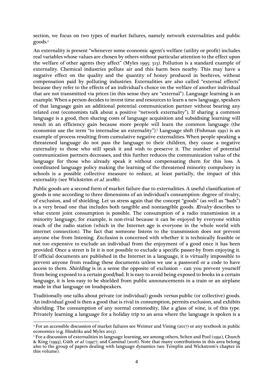section, we focus on two types of market failures, namely network externalities and public goods. 4

An externality is present "whenever some economic agent's welfare (utility or profit) includes real variables whose values are chosen by others without particular attention to the effect upon the welfare of other agents they affect" (Myles 1995: 313). Pollution is a standard example of externality. Chemical industries pollute air and this harm bees nearby. This may have a negative effect on the quality and the quantity of honey produced in beehives, without compensation paid by polluting industries. Externalities are also called "external effects" because they refer to the effects of an individual's choice on the welfare of another individual that are not transmitted via prices (in this sense they are "external"). Language learning is an example. When a person decides to invest time and resources to learn a new language, speakers of that language gain an additional potential communication partner without bearing any related cost (economists talk about a positive "network externality"). If sharing a common language is a good, then sharing costs of language acquisition and subsidising learning will result in an efficiency gain because more people will learn the common language (the economist use the term "to internalise an externality"). <sup>5</sup> Language shift (Fishman 1991) is an example of process resulting from cumulative negative externalities. When people speaking a threatened language do not pass the language to their children, they cause a negative externality to those who still speak it and wish to preserve it. The number of potential communication partners decreases, and this further reduces the communication value of the language for those who already speak it without compensating them for this loss. A coordinated language policy making the learning of the threatened minority compulsory in schools is a possible collective measure to reduce, at least partially, the impact of this externality (see Wickström et al. 2018b).

Public goods are a second form of market failure due to externalities. A useful classification of goods is one according to three dimensions of an individual's consumption: degree of rivalry, of exclusion, and of shielding. Let us stress again that the concept "goods" (as well as "bads") is a very broad one that includes both tangible and nontangible goods. Rivalry describes to what extent joint consumption is possible. The consumption of a radio transmission in a minority language, for example, is non-rival because it can be enjoyed by everyone within reach of the radio station (which in the Internet age is everyone in the whole world with internet connection). The fact that someone listens to the transmission does not prevent anyone else from listening. Exclusion is concerned with whether it is technically feasible or not too expensive to exclude an individual from the enjoyment of a good once it has been provided. Once a street is lit it is not possible to exclude a specific passer-by from enjoying it. If official documents are published in the Internet in a language, it is virtually impossible to prevent anyone from reading these documents unless we use a password or a code to have access to them. Shielding is in a sense the opposite of exclusion – can you prevent yourself from being exposed to a certain good/bad. It is easy to avoid being exposed to books in a certain language, it is less easy to be shielded from public announcements in a train or an airplane made in that language on loudspeakers.

Traditionally one talks about private (or individual) goods versus public (or collective) goods. An individual good is then a good that is rival in consumption, permits exclusion, and exhibits shielding. The consumption of any normal commodity, like a glass of wine, is of this type. Privately learning a language for a holiday trip to an area where the language is spoken is a

<sup>4</sup> For an accessible discussion of market failures see Weimer and Vining (2017) or any textbook in public economics (e.g. Hindriks and Myles 2013).

<sup>&</sup>lt;sup>5</sup> For a discussion of externalities in language learning, see among others, Selten and Pool (1991), Church & King (1993), Güth et al. (1997); and Caminal (2016). Note that many contributions in this area belong also to the group of papers dealing with language dynamics (see Templin and Wickstrom's chapter in this volume).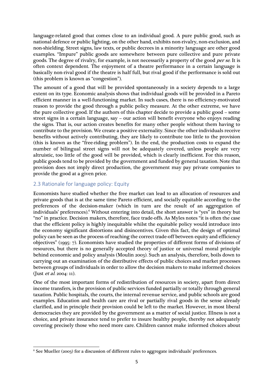language-related good that comes close to an individual good. A pure public good, such as national defence or public lighting, on the other hand, exhibits non-rivalry, non-exclusion, and non-shielding. Street signs, law texts, or public decrees in a minority language are other good examples. "Impure" public goods are somewhere between pure collective and pure private goods. The degree of rivalry, for example, is not necessarily a property of the good *per se*. It is often context dependent. The enjoyment of a theatre performance in a certain language is basically non-rival good if the theatre is half full, but rival good if the performance is sold out (this problem is known as "congestion").

The amount of a good that will be provided spontaneously in a society depends to a large extent on its type. Economic analysis shows that individual goods will be provided in a Pareto efficient manner in a well-functioning market. In such cases, there is no efficiency-motivated reason to provide the good through a public policy measure. At the other extreme, we have the pure collective good. If the authors of this chapter decide to provide a public good – some street signs in a certain language, say – our action will benefit everyone who enjoys reading the signs. That is, our action creates benefits for many other people without them having to contribute to the provision. We create a positive externality. Since the other individuals receive benefits without actively contributing, they are likely to contribute too little to the provision (this is known as the "free-riding problem"). In the end, the production costs to expand the number of bilingual street signs will not be adequately covered, unless people are very altruistic, too little of the good will be provided, which is clearly inefficient. For this reason, public goods tend to be provided by the government and funded by general taxation. Note that provision does not imply direct production, the government may pay private companies to provide the good at a given price.

#### 2.3 Rationale for language policy: Equity

Economists have studied whether the free market can lead to an allocation of resources and private goods that is at the same time Pareto efficient, and socially equitable according to the preferences of the decision-maker (which in turn are the result of an aggregation of individuals' preferences). <sup>6</sup> Without entering into detail, the short answer is "yes" in theory but "no" in practice. Decision makers, therefore, face trade-offs. As Myles notes "it is often the case that the efficient policy is highly inequitable whilst the equitable policy would introduce into the economy significant distortions and disincentives. Given this fact, the design of optimal policy can be seen as the process of reaching the correct trade-off between equity and efficiency objectives" (1995: 7). Economists have studied the properties of different forms of divisions of resources, but there is no generally accepted theory of justice or universal moral principle behind economic and policy analysis (Moulin 2003). Such an analysis, therefore, boils down to carrying out an examination of the distributive effects of public choices and market processes between groups of individuals in order to allow the decision makers to make informed choices (Just et al. 2004: 11).

One of the most important forms of redistribution of resources in society, apart from direct income transfers, is the provision of public services funded partially or totally through general taxation. Public hospitals, the courts, the internal revenue service, and public schools are good examples. Education and health care are rival or partially rival goods in the sense already clarified, and in principle their provision could be left to the market. However, in most liberal democracies they are provided by the government as a matter of social justice. Illness is not a choice, and private insurance tend to prefer to insure healthy people, thereby not adequately covering precisely those who need more care. Children cannot make informed choices about

 $6$  See Mueller (2003) for a discussion of different rules to aggregate individuals' preferences.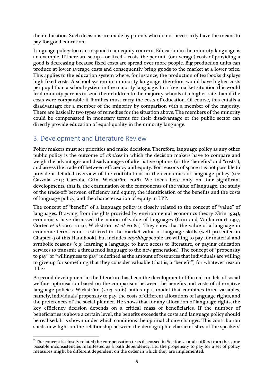their education. Such decisions are made by parents who do not necessarily have the means to pay for good education.

Language policy too can respond to an equity concern. Education in the minority language is an example. If there are setup – or fixed – costs, the per-unit (or average) costs of providing a good is decreasing because fixed costs are spread over more people. Big production units can produce at lower average costs and consequently bring goods to the market at a lower price. This applies to the education system where, for instance, the production of textbooks displays high fixed costs. A school system in a minority language, therefore, would have higher costs per pupil than a school system in the majority language. In a free-market situation this would lead minority parents to send their children to the majority schools at a higher rate than if the costs were comparable if families must carry the costs of education. Of course, this entails a disadvantage for a member of the minority by comparison with a member of the majority. There are basically two types of remedies for the situation above. The members of the minority could be compensated in monetary terms for their disadvantage or the public sector can directly provide education of equal quality in the minority language.

## 3. Development and Literature Review

Policy makers must set priorities and make decisions. Therefore, language policy as any other public policy is the outcome of choices in which the decision makers have to compare and weigh the advantages and disadvantages of alternative options (or the "benefits" and "costs"), and assess the trade-off between efficiency and equity. For reasons of space it is not possible to provide a detailed overview of the contributions in the economics of language policy (see Gazzola 2014; Gazzola, Grin, Wickström 2016). We focus here only on four significant developments, that is, the examination of the components of the value of language, the study of the trade-off between efficiency and equity, the identification of the benefits and the costs of language policy, and the characterisation of equity in LPP.

The concept of "benefit" of a language policy is closely related to the concept of "value" of languages. Drawing from insights provided by environmental economics theory (Grin 1994), economists have discussed the notion of value of languages (Grin and Vaillancourt 1997, Gorter *et al.* 2007: 21-40, Wickström *et al.* 2018a). They show that the value of a language in economic terms is not restricted to the market value of language skills (well presented in Chapter 9 of this Handbook), but includes *anything* people are willing to pay for material and symbolic reasons (e.g. learning a language to have access to literature, or paying education services to transmit a threatened language to the new generation). The concept of "propensity to pay" or "willingness to pay" is defined as the amount of resources that individuals are willing to give up for something that they consider valuable (that is, a "benefit") for whatever reason it be.7

A second development in the literature has been the development of formal models of social welfare optimisation based on the comparison between the benefits and costs of alternative language policies. Wickström (2013, 2016) builds up a model that combines three variables, namely, individuals' propensity to pay, the costs of different allocations of language rights, and the preferences of the social planner. He shows that for any allocation of language rights, the key efficiency decision depends on a critical mass of beneficiaries. If the number of beneficiaries is above a certain level, the benefits exceeds the costs and language policy should be realised. It is shown under which conditions the optimal choice changes. This contribution sheds new light on the relationship between the demographic characteristics of the speakers'

 $<sup>7</sup>$  The concept is closely related the compensation tests discussed in Section 2.1 and suffers from the same</sup> possible inconsistencies manifested as a path dependency. I.e., the propensity to pay for a set of policy measures might be different dependent on the order in which they are implemented.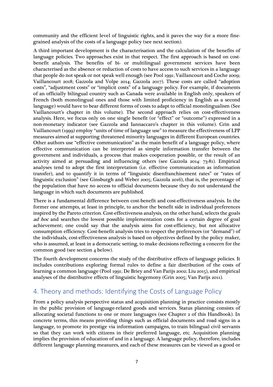community and the efficient level of linguistic rights, and it paves the way for a more finegrained analysis of the costs of a language policy (see next section).

A third important development is the characterisation and the calculation of the benefits of language policies. Two approaches exist in that respect. The first approach is based on costbenefit analysis. The benefits of bi- or multilingual government services have been characterised as the absence or reduction of costs to have access to such services in a language that people do not speak or not speak well enough (see Pool 1991; Vaillancourt and Coche 2009; Vaillancourt 2018; Gazzola and Volpe 2014; Gazzola 2017). These costs are called "adoption costs", "adjustment costs" or "implicit costs" of a language policy. For example, if documents of an officially bilingual country such as Canada were available in English only, speakers of French (both monolingual ones and those with limited proficiency in English as a second language) would have to bear different forms of costs to adapt to official monolingualism (See Vaillancourt's chapter in this volume). The second approach relies on cost-effectiveness analysis. Here, we focus only on one single benefit (or "effect" or "outcome") expressed in a non-monetary indicator (see Gazzola and Iannaccaro's chapter in this volume). Grin and Vaillancourt (1999) employ "units of time of language use" to measure the effectiveness of LPP measures aimed at supporting threatened minority languages in different European countries. Other authors use "effective communication" as the main benefit of a language policy, where effective communication can be interpreted as simple information transfer between the government and individuals, a process that makes cooperation possible, or the result of an activity aimed at persuading and influencing others (see Gazzola 2014: 73-81). Empirical analyses tend to adopt the first interpretation (i.e. effective communication as information transfer), and to quantify it in terms of "linguistic disenfranchisement rates" or "rates of linguistic exclusion" (see Ginsburgh and Weber 2005; Gazzola 2016), that is, the percentage of the population that have no access to official documents because they do not understand the language in which such documents are published.

There is a fundamental difference between cost-benefit and cost-effectiveness analysis. In the former one attempts, at least in principle, to anchor the benefit side in individual preferences inspired by the Pareto criterion. Cost-effectiveness analysis, on the other hand, selects the goals ad hoc and searches the lowest possible implementation costs for a certain degree of goal achievement; one could say that the analysis aims for cost-efficiency, but not allocative consumption efficiency. Cost-benefit analysis tries to respect the preferences (or "demand") of the individuals, cost-effectiveness analysis is based on objectives defined by the policy maker, who is assumed, at least in a democratic setting, to make decisions reflecting a concern for the common good (see section 4 below).

The fourth development concerns the study of the distributive effects of language policies. It includes contributions exploring formal rules to define a fair distribution of the costs of learning a common language (Pool 1991; De Briey and Van Parijs 2002; Liu 2015), and empirical analyses of the distributive effects of linguistic hegemony (Grin 2005; Van Parijs 2011).

## 4. Theory and methods: Identifying the Costs of Language Policy

From a policy analysis perspective status and acquisition planning in practice consists mostly in the public provision of language-related goods and services. Status planning consists of allocating societal functions to one or more languages (see Chapter 2 of this Handbook). In concrete terms, this means providing things such as official documents and road signs in a language, to promote its prestige via information campaigns, to train bilingual civil servants so that they can work with citizens in their preferred language, etc. Acquisition planning implies the provision of education of and in a language. A language policy, therefore, includes different language planning measures, and each of these measures can be viewed as a good or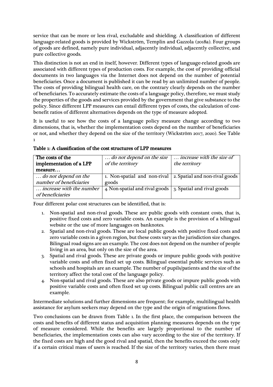service that can be more or less rival, excludable and shielding. A classification of different language-related goods is provided by Wickström, Templin and Gazzola (2018a). Four groups of goods are defined, namely pure individual, adjacently individual, adjacently collective, and pure collective goods.

This distinction is not an end in itself, however. Different types of language-related goods are associated with different types of production costs. For example, the cost of providing official documents in two languages via the Internet does not depend on the number of potential beneficiaries. Once a document is published it can be read by an unlimited number of people. The costs of providing bilingual health care, on the contrary clearly depends on the number of beneficiaries. To accurately estimate the costs of a language policy, therefore, we must study the properties of the goods and services provided by the government that give substance to the policy. Since different LPP measures can entail different types of costs, the calculation of costbenefit ratios of different alternatives depends on the type of measure adopted.

It is useful to see how the costs of a language policy measure change according to two dimensions, that is, whether the implementation costs depend on the number of beneficiaries or not, and whether they depend on the size of the territory (Wickström 2017, 2020). See Table 1

| The costs of the         | do not depend on the size                                     | increase with the size of  |  |
|--------------------------|---------------------------------------------------------------|----------------------------|--|
| implementation of a LPP  | of the territory                                              | the territory              |  |
| measure                  |                                                               |                            |  |
| do not depend on the     | 1. Non-spatial and non-rival   2. Spatial and non-rival goods |                            |  |
| number of beneficiaries  | goods                                                         |                            |  |
| increase with the number | 4. Non-spatial and rival goods                                | 3. Spatial and rival goods |  |
| of beneficiaries         |                                                               |                            |  |

Table 1: A classification of the cost structures of LPP measures

Four different polar cost structures can be identified, that is:

- 1. Non-spatial and non-rival goods. These are public goods with constant costs, that is, positive fixed costs and zero variable costs. An example is the provision of a bilingual website or the use of more languages on banknotes.
- 2. Spatial and non-rival goods. These are local public goods with positive fixed costs and zero variable costs in a given region, but these costs vary as the jurisdiction size changes. Bilingual road signs are an example. The cost does not depend on the number of people living in an area, but only on the size of the area.
- 3. Spatial and rival goods. These are private goods or impure public goods with positive variable costs and often fixed set up costs. Bilingual essential public services such as schools and hospitals are an example. The number of pupils/patients and the size of the territory affect the total cost of the language policy.
- 4. Non-spatial and rival goods. These are also private goods or impure public goods with positive variable costs and often fixed set up costs. Bilingual public call centres are an example.

Intermediate solutions and further dimensions are frequent; for example, multilingual health assistance for asylum seekers may depend on the type and the origin of migrations flows.

Two conclusions can be drawn from Table 1. In the first place, the comparison between the costs and benefits of different status and acquisition planning measures depends on the type of measure considered. While the benefits are largely proportional to the number of beneficiaries, the implementation costs can also vary according to the size of the territory. If the fixed costs are high and the good rival and spatial, then the benefits exceed the costs only if a certain critical mass of users is reached. If the size of the territory varies, then there must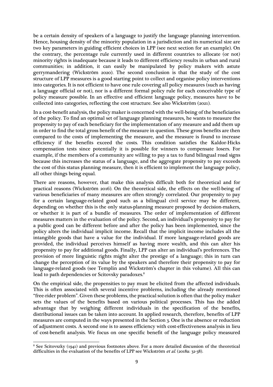be a certain density of speakers of a language to justify the language planning intervention. Hence, housing density of the minority population in a jurisdiction and its numerical size are two key parameters in guiding efficient choices in LPP (see next section for an example). On the contrary, the percentage rule currently used in different countries to allocate (or not) minority rights is inadequate because it leads to different efficiency results in urban and rural communities; in addition, it can easily be manipulated by policy makers with astute gerrymandering (Wickström 2020). The second conclusion is that the study of the cost structure of LPP measures is a good starting point to collect and organise policy interventions into categories. It is not efficient to have one rule covering all policy measures (such as having a language official or not), nor is a different formal policy rule for each conceivable type of policy measure possible. In an effective and efficient language policy, measures have to be collected into categories, reflecting the cost structure. See also Wickström (2021).

In a cost-benefit analysis, the policy maker is concerned with the well-being of the beneficiaries of the policy. To find an optimal set of language planning measures, he wants to measure the propensity to pay of each beneficiary for the implementation of any measure and add them up in order to find the total gross benefit of the measure in question. These gross benefits are then compared to the costs of implementing the measure, and the measure is found to increase efficiency if the benefits exceed the costs. This condition satisfies the Kaldor-Hicks compensation tests since potentially it is possible for winners to compensate losers. For example, if the members of a community are willing to pay a tax to fund bilingual road signs because this increases the status of a language, and the aggregate propensity to pay exceeds the cost of this status planning measure, then it is efficient to implement the language policy, all other things being equal.

There are reasons, however, that make this analysis difficult both for theoretical and for practical reasons (Wickström 2016). On the theoretical side, the effects on the well-being of various beneficiaries of many measures are often strongly correlated. Our propensity to pay for a certain language-related good such as a bilingual civil service may be different, depending on whether this is the only status-planning measure proposed by decision-makers, or whether it is part of a bundle of measures. The order of implementation of different measures matters in the evaluation of the policy. Second, an individual's propensity to pay for a public good can be different before and after the policy has been implemented, since the policy alters the individual implicit income. Recall that the implicit income includes all the intangible goods that have a value for the individual. If more language-related goods are provided, the individual perceives himself as having more wealth, and this can alter his propensity to pay for additional goods. Finally, LPP can alter an individual's preferences. The provision of more linguistic rights might alter the prestige of a language; this in turn can change the perception of its value by the speakers and therefore their propensity to pay for language-related goods (see Templin and Wickström's chapter in this volume). All this can lead to path dependencies or Scitovsky paradoxes.<sup>8</sup>

On the empirical side, the propensities to pay must be elicited from the affected individuals. This is often associated with several incentive problems, including the already mentioned "free-rider problem". Given these problems, the practical solution is often that the policy maker sets the values of the benefits based on various political processes. This has the added advantage that by weighing different individuals in the specification of the benefits, distributional issues can be taken into account. In applied research, therefore, benefits of LPP measures are computed in the ways presented in the Section 3. One is the absence or reduction of adjustment costs. A second one is to assess efficiency with cost-effectiveness analysis in lieu of cost-benefit analysis. We focus on one specific benefit of the language policy measured

<sup>8</sup> See Scitovszky (1941) and previous footnotes above. For a more detailed discussion of the theoretical difficulties in the evaluation of the benefits of LPP see Wickström et al. (2018a: 32-38).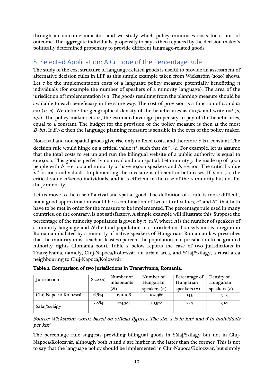through an outcome indicator, and we study which policy minimises costs for a unit of outcome. The aggregate individuals' propensity to pay is then replaced by the decision maker's politically determined propensity to provide different language-related goods.

## 5. Selected Application: A Critique of the Percentage Rule

The study of the cost structure of language-related goods is useful to provide an assessment of alternative decision rules in LPP as this simple example taken from Wickström (2020) shows. Let  $c$  be the implementation costs of a language policy measure potentially benefitting  $n$ individuals (for example the number of speakers of a minority language). The area of the jurisdiction of implementation is  $a$ . The goods resulting from the planning measure should be available to each beneficiary in the same way. The cost of provision is a function of  $n$  and  $a$ . c=f(n, a). We define the geographical density of the beneficiaries as  $\delta = n/a$  and write c=f(n,  $n/\delta$ ). The policy maker sets b, the estimated average propensity to pay of the beneficiaries, equal to a constant. The budget for the provision of the policy measure is then at the most  $B=bn$ . If  $B>c$ , then the language planning measure is sensible in the eyes of the policy maker.

Non-rival and non-spatial goods give rise only to fixed costs, and therefore  $c$  is a constant. The decision rule would hinge on a critical value  $n^*$ , such that  $bn^* > c$ . For example, let us assume that the total costs to set up and run the bilingual website of a public authority is equal to  $\epsilon$ 100,000. This good is perfectly non-rival and non-spatial. Let minority y be made up of 1,000 people with  $b_y = \epsilon$  100 and minority x have 10,000 speakers and  $b_x = \epsilon$  100. The critical value  $n^*$  is 1000 individuals. Implementing the measure is efficient in both cases. If  $b = \epsilon$  50, the critical value  $n^*$ =2000 individuals, and it is efficient in the case of the x minority but not for the y minority.

Let us move to the case of a rival and spatial good. The definition of a rule is more difficult, but a good approximation would be a combination of two critical values,  $n^*$  and  $\delta^*$ , that both have to be met in order for the measure to be implemented. The percentage rule used in many countries, on the contrary, is not satisfactory. A simple example will illustrate this. Suppose the percentage of the minority population is given by  $\pi=n/N$ , where *n* is the number of speakers of a minority language and  $N$  the total population in a jurisdiction. Transylvania is a region in Romania inhabited by a minority of native speakers of Hungarian. Romanian law prescribes that the minority must reach at least 20 percent the population in a jurisdiction to be granted minority rights (Romania 2001). Table 2 below reports the case of two jurisdictions in Transylvania, namely, Cluj-Napoca/Kolozsvár, an urban area, and Sălaj/Szilágy, a rural area neighbouring to Cluj-Napoca/Kolozsvár.

| Jurisdiction           | Size $(a)$ | Number of   | Number of      | Percentage of    | Density of          |
|------------------------|------------|-------------|----------------|------------------|---------------------|
|                        |            | inhabitants | Hungarian      | Hungarian        | Hungarian           |
|                        |            | (N)         | speakers $(n)$ | speakers $(\pi)$ | speakers $(\delta)$ |
| Cluj-Napoca/ Kolozsvár | 6,674      | 691,106     | 102,966        | 14.9             | 15.43               |
| Sălaj/Szilágy          | 3,864      | 224,384     | 50,928         | 22.7             | 13.18               |

Table 2. Comparison of two jurisdictions in Transylvania, Romania,

Source: Wickström (2020), based on official figures. The size  $a$  is in km<sup>2</sup> and  $\delta$  in individuals per km<sup>2</sup>.

The percentage rule suggests providing bilingual goods in Sălaj/Szilágy but not in Cluj-Napoca/Kolozsvár, although both *n* and  $\delta$  are higher in the latter than the former. This is not to say that the language policy should be implemented in Cluj-Napoca/Kolozsvár, but simply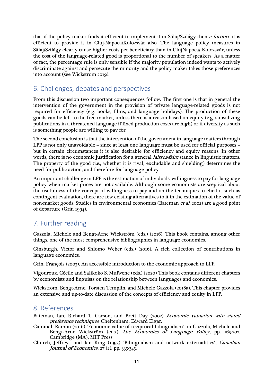that if the policy maker finds it efficient to implement it in Sălaj/Szilágy then a fortiori it is efficient to provide it in Cluj-Napoca/Kolozsvár also. The language policy measures in Sălaj/Szilágy clearly cause higher costs per beneficiary than in ClujNapoca/ Kolozsvár, unless the cost of the language-related good is proportional to the number of speakers. As a matter of fact, the percentage rule is only sensible if the majority population indeed wants to actively discriminate against and persecute the minority and the policy maker takes those preferences into account (see Wickström 2019).

## 6. Challenges, debates and perspectives

From this discussion two important consequences follow. The first one is that in general the intervention of the government in the provision of private language-related goods is not required for efficiency (e.g. books, films, and language holidays). The production of these goods can be left to the free market, unless there is a reason based on equity (e.g. subsidizing publications in a threatened language if fixed production costs are high) or if diversity as such is something people are willing to pay for.

The second conclusion is that the intervention of the government in language matters through LPP is not only unavoidable – since at least one language must be used for official purposes – but in certain circumstances it is also desirable for efficiency and equity reasons. In other words, there is no economic justification for a general *laissez-faire* stance in linguistic matters. The property of the good (i.e., whether it is rival, excludable and shielding) determines the need for public action, and therefore for language policy.

An important challenge in LPP is the estimation of individuals' willingness to pay for language policy when market prices are not available. Although some economists are sceptical about the usefulness of the concept of willingness to pay and on the techniques to elicit it such as contingent evaluation, there are few existing alternatives to it in the estimation of the value of non-market goods. Studies in environmental economics (Bateman et al. 2002) are a good point of departure (Grin 1994).

## 7. Further reading

Gazzola, Michele and Bengt-Arne Wickström (eds.) (2016). This book contains, among other things, one of the most comprehensive bibliographies in language economics.

Ginsburgh, Victor and Shlomo Weber (eds.) (2016). A rich collection of contributions in language economics.

Grin, François (2003). An accessible introduction to the economic approach to LPP.

Vigouroux, Cécile and Salikoko S. Mufwene (eds.) (2020) This book contains different chapters by economists and linguists on the relationship between languages and economics.

Wickström, Bengt-Arne, Torsten Templin, and Michele Gazzola (2018a). This chapter provides an extensive and up-to-date discussion of the concepts of efficiency and equity in LPP.

### 8. References

Bateman, Ian, Richard T. Carson, and Brett Day (2002) Economic valuation with stated preference techniques. Cheltenham: Edward Elgar.

Caminal, Ramon (2016) "Economic value of reciprocal bilingualism", in Gazzola, Michele and Bengt-Arne Wickström (eds.) The Economics of Language Policy, pp. 165-202. Cambridge (MA): MIT Press.

Church, Jeffrey and Ian King (1993) "Bilingualism and network externalities", *Canadian* Journal of Economics,  $27$  (2), pp. 335-345.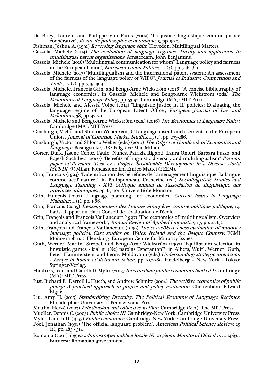De Briey, Laurent and Philippe Van Parijs (2002) "La justice linguistique comme justice coopérative", *Revue de philosophie économique*, 5, pp. 5-37.

Fishman, Joshua A. (1991) Reversing language shift. Clevedon: Multilingual Matters.

- Gazzola, Michele (2014) The evaluation of language regimes. Theory and application to multilingual patent organisations. Amsterdam: John Benjamins.
- Gazzola, Michele (2016) "Multilingual communication for whom? Language policy and fairness in the European Union", *European Union Politics*,  $17$  (4), pp. 546-569.
- Gazzola, Michele  $(2017)$  "Multilingualism and the international patent system: An assessment of the fairness of the language policy of WIPO", Journal of Industry, Competition and Trade, 17 (3), pp. 349–369.
- Gazzola, Michele, François Grin, and Bengt-Arne Wickström (2016) "A concise bibliography of language economics", in Gazzola, Michele and Bengt-Arne Wickström (eds.) The Economics of Language Policy, pp. 53-92. Cambridge (MA): MIT Press.
- Gazzola, Michele and Alessia Volpe (2014) "Linguistic justice in IP policies: Evaluating the language regime of the European Patent Office", *European Journal of Law and* Economics, 38, pp. 47-70.
- Gazzola, Michele and Bengt-Arne Wickström (eds.) (2016) The Economics of Language Policy. Cambridge (MA): MIT Press.
- Ginsburgh, Victor and Shlomo Weber (2005) "Language disenfranchisement in the European Union", Journal of Common Market Studies,  $43(2)$ , pp. 273-286.
- Ginsburgh, Victor and Shlomo Weber (eds.) (2016) The Palgrave Handbook of Economics and Language. Basingstoke, UK: Palgrave-Mac Millan.
- Gorter, Durk, Jasone Cenoz, Paulo Nunes, Patrizia Riganti, Laura Onofri, Barbara Puzzo, and Rajesh Sachdeva (2007) "Benefits of linguistic diversity and multilingualism" Position paper of Research Task 1.2 - Project "Sustainable Development in a Diverse World (SUS.DIV)". Milan: Fondazione Eni Enrico Mattei (FEEM).
- Grin, François (1994) "L'identification des bénéfices de l'aménagement linguistique: la langue comme actif naturel", in Phlipponneau, Catherine (ed.) Sociolinguistic Studies and Language Planning - XVI Colloque annuel de l'association de linguistique des provinces atlantiques, pp. 67-101. Université de Moncton.
- Grin, François (2003) "Language planning and economics", Current Issues in Language *Planning*,  $4(1)$ , pp.  $1-\overline{6}6$ .
- Grin, François (2005) L'enseignement des langues étrangères comme politique publique, 19. Paris: Rapport au Haut Conseil de l'évaluation de l'école.
- Grin, François and François Vaillancourt (1997) "The economics of multilingualism: Overview and analytical framework", Annual Review of Applied Linguistics, 17, pp. 43-65.
- Grin, François and François Vaillancourt (1999) The cost-effectiveness evaluation of minority language policies: Case studies on Wales, Ireland and the Basque Country, ECMI Monograph n. 2. Flensburg: European Centre for Minority Issues.
- Güth, Werner, Martin Strobel, and Bengt-Arne Wickström (1997) "Equilibrium selection in linguistic games - kial ni (Ne) parolas Esperanton?", in Albers, Wulf , Werner Güth, Peter Hammerstein, and Benny Moldovanu (eds.) Understanding strategic interaction - Essays in honor of Reinhard Selten, pp. 257-269. Heidelberg – New York - Tokyo: Springer-Verlag.
- Hindriks, Jean and Gareth D. Myles (2013) Intermediate public economics (2nd ed.). Cambridge (MA): MIT Press.
- Just, Richard E., Darrell L. Hueth, and Andrew Schmitz (2004) The welfare economics of public policy: A practical approach to project and policy evaluation. Cheltenham: Edward Elgar.
- Liu, Amy H. (2015) Standardizing Diversity: The Political Economy of Language Regimes. Philadelphia: University of Pennsylvania Press.
- Moulin, Hervé (2003) Fair division and collective welfare. Cambridge (MA): The MIT Press.
- Mueller, Dennis C. (2003) Public choice III. Cambridge-New York: Cambridge University Press.
- Myles, Gareth D. (1995) Public economics. Cambridge-New York: Cambridge University Press.

Romania (2001) Legea administra*ţ*iei publice locale Nr. 215/2001. Monitorul Oficial nr. 204/23. . Bucarest: Romanian government.

Pool, Jonathan (1991) "The official language problem", American Political Science Review, 25  $(2)$ , pp. 485 - 514.